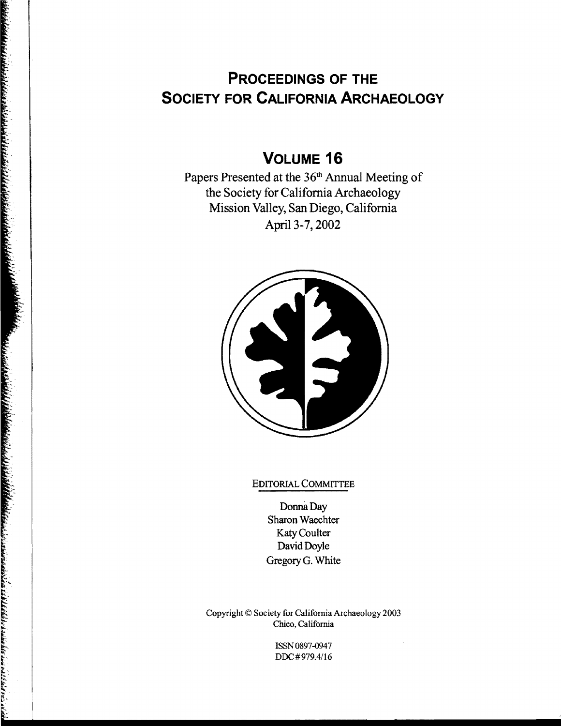# **PROCEEDINGS OF THE SOCIETY FOR CALIFORNIA ARCHAEOLOGY**

## **VOLUME 16**

Papers Presented at the 36<sup>th</sup> Annual Meeting of the Society for California Archaeology Mission Valley, San Diego, California April 3-7, 2002



#### EDITORIAL COMMITTEE

Donna Day Sharon Waechter Katy Coulter David Doyle GregoryG. White

Copyright © Society for California Archaeology 2003 Chico, California

> ISSN0897-0947 DDC#979.4/16

 $\bar{\bar{z}}$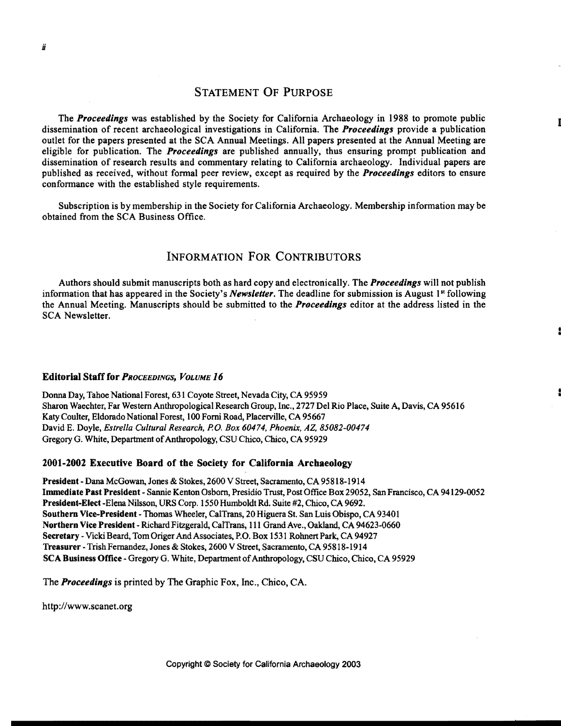### STATEMENT OF PURPOSE

The *Proceedings* was established by the Society for California Archaeology in 1988 to promote public dissemination of recent archaeological investigations in California. The *Proceedings* provide a publication outlet for the papers presented at the SCA Annual Meetings. All papers presented at the Annual Meeting are eligible for publication. The *Proceedings* are published annually, thus ensuring prompt publication and dissemination of research results and commentary relating to California archaeology. Individual papers are published as received, without formal peer review, except as required by the *Proceedings* editors to ensure conformance with the established style requirements.

Subscription is by membership in the Society for California Archaeology. Membership information may be obtained from the SCA Business Office.

## INFORMATION FOR CONTRIBUTORS

Authors should submit manuscripts both as hard copy and electronically. The *Proceedings* will not publish information that has appeared in the Society's *Newsletter*. The deadline for submission is August 1<sup>st</sup> following the Annual Meeting. Manuscripts should be submitted to the *Proceedings* editor at the address listed in the SCA Newsletter.

#### Editorial Staff for *PROCEEDINGS, VOLUME 16*

Donna Day, Tahoe National Forest, 631 Coyote Street, Nevada City, CA 95959 Sharon Waechter, Far Western Anthropological Research Group, Inc., 2727 Del Rio Place, Suite A, Davis, CA 95616 Katy Coulter, Eldorado National Forest, 100 Forni Road, Placerville, CA 95667 David E. Doyle, *Estrella Cultural Research,* P.o. *Box 60474, Phoenix, AZ, 85082-00474*  Gregory G. White, Department of Anthropology, CSU Chico, Chico, CA 95929

#### 2001-2002 Executive Board of the Society for California Archaeology

President - Dana McGowan, Jones & Stokes, 2600 V Street, Sacramento, CA 95818-1914 Immediate Past President - Sannie Kenton Osborn, Presidio Trust, Post Office Box 29052, San Francisco, CA 94129-0052 President-Elect -Elena Nilsson, URS Corp. 1550 Humboldt Rd. Suite #2, Chico, CA 9692. Southern Vice-President - Thomas Wheeler, CalTrans, 20 Higuera St. San Luis Obispo, CA 93401 Northern Vice President - Richard Fitzgerald, CalTrans, 111 Grand Ave., Oakland, CA 94623-0660 Secretary - Vicki Beard, Tom Origer And Associates, P.O. Box 1531 Rohnert Park, CA 94927 Treasurer -Trish Fernandez, Jones & Stokes, 2600 V Street, Sacramento, CA 95818-1914 SCA Business Office - Gregory G. White, Department of Anthropology, CSU Chico, Chico, CA 95929

The *Proceedings* is printed by The Graphic Fox, Inc., Chico, CA.

http://www.scanet.org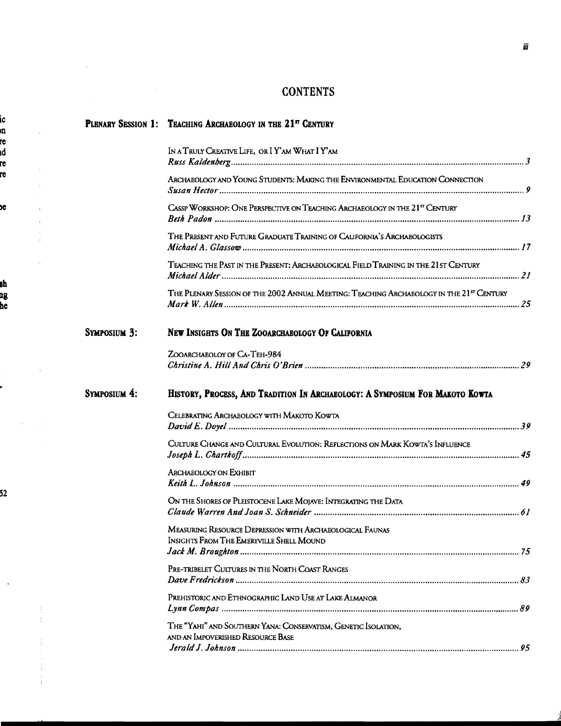## **CONTENTS**

 $\pm$ 

 $\bar{\gamma}$ 

|                     | PLENARY SESSION 1: TEACHING ARCHAEOLOGY IN THE 21 <sup>st</sup> CENTURY                                     |  |
|---------------------|-------------------------------------------------------------------------------------------------------------|--|
|                     | IN A TRULY CREATIVE LIFE, OR I Y'AM WHAT I Y'AM                                                             |  |
|                     | ARCHAEOLOGY AND YOUNG STUDENTS: MAKING THE ENVIRONMENTAL EDUCATION CONNECTION                               |  |
|                     | CASSP WORKSHOP: ONE PERSPECTIVE ON TEACHING ARCHAEOLOGY IN THE 21 <sup>5</sup> CENTURY                      |  |
|                     | THE PRESENT AND FUTURE GRADUATE TRAINING OF CALIFORNIA'S ARCHAEOLOGISTS                                     |  |
|                     | TEACHING THE PAST IN THE PRESENT: ARCHAEOLOGICAL FIELD TRAINING IN THE 21 ST CENTURY                        |  |
|                     | THE PLENARY SESSION OF THE 2002 ANNUAL MEETING: TEACHING ARCHAEOLOGY IN THE 21 <sup>5</sup> CENTURY         |  |
| <b>SYMPOSIUM 3:</b> | NEW INSIGHTS ON THE ZOOARCHAEOLOGY OF CALIFORNIA                                                            |  |
|                     | ZOOARCHAEOLOY OF CA-TEH-984                                                                                 |  |
| SYMPOSIUM 4:        | HISTORY, PROCESS, AND TRADITION IN ARCHAEOLOGY: A SYMPOSIUM FOR MAKOTO KOWTA                                |  |
|                     | CELEBRATING ARCHAEOLOGY WITH MAKOTO KOWTA                                                                   |  |
|                     | CULTURE CHANGE AND CULTURAL EVOLUTION: REFLECTIONS ON MARK KOWTA'S INFLUENCE                                |  |
|                     | <b>ARCHAEOLOGY ON EXHIBIT</b>                                                                               |  |
|                     | ON THE SHORES OF PLEISTOCENE LAKE MOJAVE: INTEGRATING THE DATA                                              |  |
|                     | MEASURING RESOURCE DEPRESSION WITH ARCHAEOLOGICAL FAUNAS<br><b>INSIGHTS FROM THE EMERYVILLE SHELL MOUND</b> |  |
|                     | PRE-TRIBELET CULTURES IN THE NORTH COAST RANGES                                                             |  |
|                     | PREHISTORIC AND ETHNOGRAPHIC LAND USE AT LAKE ALMANOR                                                       |  |
|                     | THE "YAHI" AND SOUTHERN YANA: CONSERVATISM, GENETIC ISOLATION,<br>AND AN IMPOVERISHED RESOURCE BASE         |  |
|                     |                                                                                                             |  |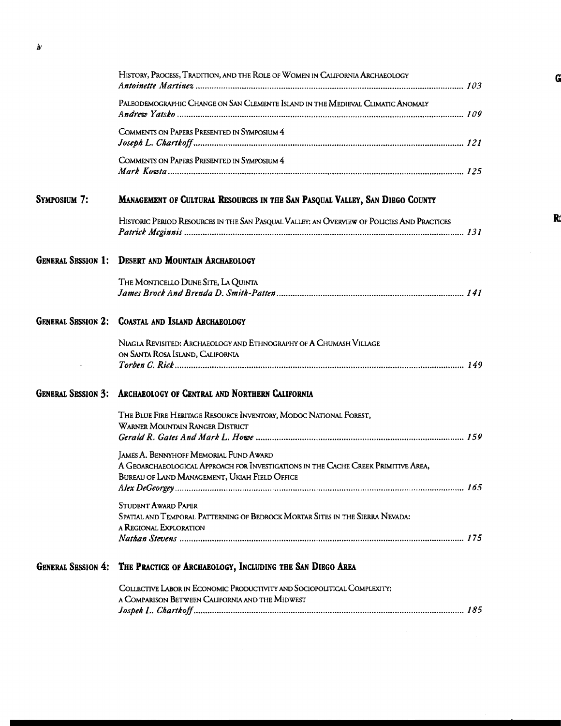|                           | HISTORY, PROCESS, TRADITION, AND THE ROLE OF WOMEN IN CALIFORNIA ARCHAEOLOGY                                                                                                         |
|---------------------------|--------------------------------------------------------------------------------------------------------------------------------------------------------------------------------------|
|                           | PALEODEMOGRAPHIC CHANGE ON SAN CLEMENTE ISLAND IN THE MEDIEVAL CLIMATIC ANOMALY                                                                                                      |
|                           | COMMENTS ON PAPERS PRESENTED IN SYMPOSIUM 4                                                                                                                                          |
|                           | COMMENTS ON PAPERS PRESENTED IN SYMPOSIUM 4                                                                                                                                          |
| SYMPOSIUM 7:              | MANAGEMENT OF CULTURAL RESOURCES IN THE SAN PASQUAL VALLEY, SAN DIEGO COUNTY                                                                                                         |
|                           | HISTORIC PERIOD RESOURCES IN THE SAN PASQUAL VALLEY: AN OVERVIEW OF POLICIES AND PRACTICES                                                                                           |
| <b>GENERAL SESSION 1:</b> | <b>DESERT AND MOUNTAIN ARCHAEOLOGY</b>                                                                                                                                               |
|                           | THE MONTICELLO DUNE SITE, LA QUINTA                                                                                                                                                  |
| <b>GENERAL SESSION 2:</b> | <b>COASTAL AND ISLAND ARCHAEOLOGY</b>                                                                                                                                                |
|                           | NIAGIA REVISITED: ARCHAEOLOGY AND ETHNOGRAPHY OF A CHUMASH VILLAGE<br>ON SANTA ROSA ISLAND, CALIFORNIA                                                                               |
| <b>GENERAL SESSION 3:</b> | ARCHAEOLOGY OF CENTRAL AND NORTHERN CALIFORNIA                                                                                                                                       |
|                           | THE BLUE FIRE HERITAGE RESOURCE INVENTORY, MODOC NATIONAL FOREST,<br>WARNER MOUNTAIN RANGER DISTRICT                                                                                 |
|                           | <b>JAMES A. BENNYHOFF MEMORIAL FUND AWARD</b><br>A GEOARCHAEOLOGICAL APPROACH FOR INVESTIGATIONS IN THE CACHE CREEK PRIMITIVE AREA,<br>BUREAU OF LAND MANAGEMENT, UKIAH FIELD OFFICE |
|                           | STUDENT AWARD PAPER<br>SPATIAL AND TEMPORAL PATTERNING OF BEDROCK MORTAR SITES IN THE SIERRA NEVADA:<br>A REGIONAL EXPLORATION                                                       |
| <b>GENERAL SESSION 4:</b> | THE PRACTICE OF ARCHAEOLOGY, INCLUDING THE SAN DIEGO AREA                                                                                                                            |
|                           | COLLECTIVE LABOR IN ECONOMIC PRODUCTIVITY AND SOCIOPOLITICAL COMPLEXITY:                                                                                                             |

| a Comparison Between California and the Midwest |  |
|-------------------------------------------------|--|
|                                                 |  |